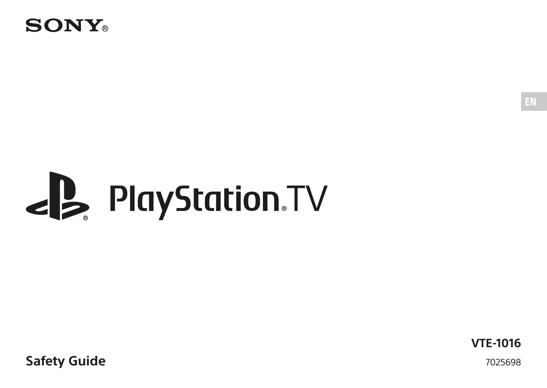

# **PlayStation.TV**

**Safety Guide**

**VTE-1016** 7025698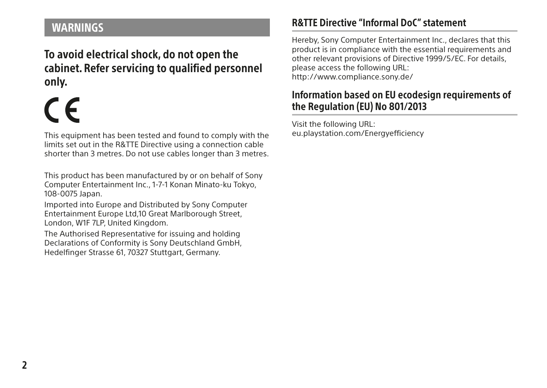# <span id="page-1-0"></span>WARNINGS

To avoid electrical shock, do not open the cabinet. Refer servicing to qualified personnel only.

This equipment has been tested and found to comply with the limits set out in the R&TTE Directive using a connection cable shorter than 3 metres. Do not use cables longer than 3 metres.

This product has been manufactured by or on behalf of Sony Computer Entertainment Inc., 1-7-1 Konan Minato-ku Tokyo, 108-0075 Japan.

Imported into Europe and Distributed by Sony Computer Entertainment Europe Ltd,10 Great Marlborough Street, London, W1F 7LP, United Kingdom.

The Authorised Representative for issuing and holding Declarations of Conformity is Sony Deutschland GmbH, Hedelfinger Strasse 61, 70327 Stuttgart, Germany.

### R&TTE Directive "Informal DoC" statement

Hereby, Sony Computer Entertainment Inc., declares that this product is in compliance with the essential requirements and other relevant provisions of Directive 1999/5/EC. For details, please access the following URL: http://www.compliance.sony.de/

#### Information based on EU ecodesign requirements of the Regulation (EU) No 801/2013

Visit the following URL: eu.playstation.com/Energyefficiency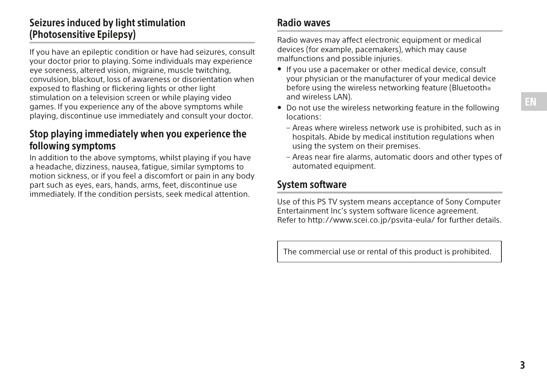# Seizures induced by light stimulation (Photosensitive Epilepsy)

If you have an epileptic condition or have had seizures, consult your doctor prior to playing. Some individuals may experience eye soreness, altered vision, migraine, muscle twitching, convulsion, blackout, loss of awareness or disorientation when exposed to flashing or flickering lights or other light stimulation on a television screen or while playing video games. If you experience any of the above symptoms while playing, discontinue use immediately and consult your doctor.

#### Stop playing immediately when you experience the following symptoms

In addition to the above symptoms, whilst playing if you have a headache, dizziness, nausea, fatigue, similar symptoms to motion sickness, or if you feel a discomfort or pain in any body part such as eyes, ears, hands, arms, feet, discontinue use immediately. If the condition persists, seek medical attention.

#### Radio waves

Radio waves may affect electronic equipment or medical devices (for example, pacemakers), which may cause malfunctions and possible injuries.

- ˎ If you use a pacemaker or other medical device, consult your physician or the manufacturer of your medical device before using the wireless networking feature (Bluetooth® and wireless LAN).
- ˎ Do not use the wireless networking feature in the following locations:
	- Areas where wireless network use is prohibited, such as in hospitals. Abide by medical institution regulations when using the system on their premises.
	- Areas near fire alarms, automatic doors and other types of automated equipment.

#### System software

Use of this PS TV system means acceptance of Sony Computer Entertainment Inc's system software licence agreement. Refer to http://www.scei.co.jp/psvita-eula/ for further details.

The commercial use or rental of this product is prohibited.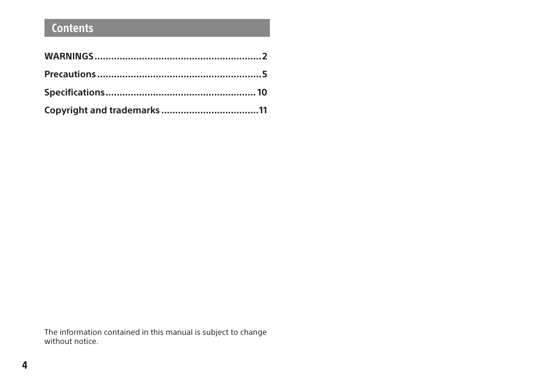# **Contents**

The information contained in this manual is subject to change without notice.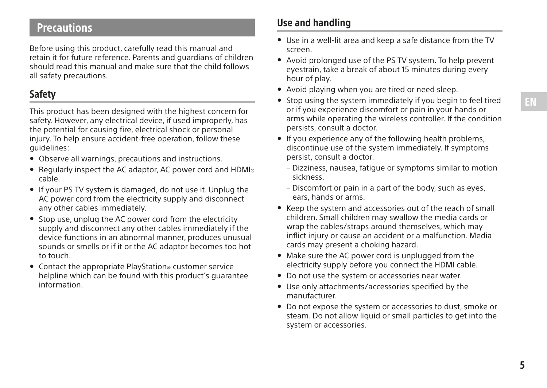# <span id="page-4-0"></span>**Precautions**

Before using this product, carefully read this manual and retain it for future reference. Parents and guardians of children should read this manual and make sure that the child follows all safety precautions.

#### Safety

This product has been designed with the highest concern for safety. However, any electrical device, if used improperly, has the potential for causing fire, electrical shock or personal injury. To help ensure accident-free operation, follow these guidelines:

- ˎ Observe all warnings, precautions and instructions.
- Regularly inspect the AC adaptor, AC power cord and  $HDMI_{\circledcirc}$  cable.
- ˎ If your PS TV system is damaged, do not use it. Unplug the AC power cord from the electricity supply and disconnect any other cables immediately.
- ˎ Stop use, unplug the AC power cord from the electricity supply and disconnect any other cables immediately if the device functions in an abnormal manner, produces unusual sounds or smells or if it or the AC adaptor becomes too hot to touch.
- Contact the appropriate PlayStation® customer service helpline which can be found with this product's guarantee information.

#### Use and handling

- ˎ Use in a well-lit area and keep a safe distance from the TV screen.
- ˎ Avoid prolonged use of the PS TV system. To help prevent eyestrain, take a break of about 15 minutes during every hour of play.
- ˎ Avoid playing when you are tired or need sleep.
- ˎ Stop using the system immediately if you begin to feel tired or if you experience discomfort or pain in your hands or arms while operating the wireless controller. If the condition persists, consult a doctor.
- ˎ If you experience any of the following health problems, discontinue use of the system immediately. If symptoms persist, consult a doctor.
	- Dizziness, nausea, fatigue or symptoms similar to motion sickness.
	- Discomfort or pain in a part of the body, such as eyes, ears, hands or arms.
- ˎ Keep the system and accessories out of the reach of small children. Small children may swallow the media cards or wrap the cables/straps around themselves, which may inflict injury or cause an accident or a malfunction. Media cards may present a choking hazard.
- Make sure the AC power cord is unplugged from the electricity supply before you connect the HDMI cable.
- ˎ Do not use the system or accessories near water.
- $\bullet$  Use only attachments/accessories specified by the manufacturer.
- ˎ Do not expose the system or accessories to dust, smoke or steam. Do not allow liquid or small particles to get into the system or accessories.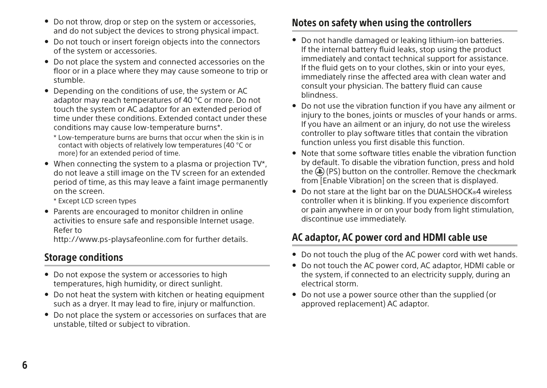- ˎ Do not throw, drop or step on the system or accessories, and do not subject the devices to strong physical impact.
- Do not touch or insert foreign objects into the connectors of the system or accessories.
- ˎ Do not place the system and connected accessories on the floor or in a place where they may cause someone to trip or stumble.
- ˎ Depending on the conditions of use, the system or AC adaptor may reach temperatures of 40 °C or more. Do not touch the system or AC adaptor for an extended period of time under these conditions. Extended contact under these conditions may cause low-temperature burns\*.
	- \* Low-temperature burns are burns that occur when the skin is in contact with objects of relatively low temperatures (40 °C or more) for an extended period of time.
- ˎ When connecting the system to a plasma or projection TV\*, do not leave a still image on the TV screen for an extended period of time, as this may leave a faint image permanently on the screen.

\* Except LCD screen types

ˎ Parents are encouraged to monitor children in online activities to ensure safe and responsible Internet usage. Refer to

http://www.ps-playsafeonline.com for further details.

#### Storage conditions

- Do not expose the system or accessories to high temperatures, high humidity, or direct sunlight.
- ˎ Do not heat the system with kitchen or heating equipment such as a dryer. It may lead to fire, injury or malfunction.
- ˎ Do not place the system or accessories on surfaces that are unstable, tilted or subject to vibration.

#### Notes on safety when using the controllers

- ˎ Do not handle damaged or leaking lithium-ion batteries. If the internal battery fluid leaks, stop using the product immediately and contact technical support for assistance. If the fluid gets on to your clothes, skin or into your eyes, immediately rinse the affected area with clean water and consult your physician. The battery fluid can cause blindness.
- ˎ Do not use the vibration function if you have any ailment or injury to the bones, joints or muscles of your hands or arms. If you have an ailment or an injury, do not use the wireless controller to play software titles that contain the vibration function unless you first disable this function.
- ˎ Note that some software titles enable the vibration function by default. To disable the vibration function, press and hold the (D) (PS) button on the controller. Remove the checkmark from [Enable Vibration] on the screen that is displayed.
- Do not stare at the light bar on the DUALSHOCK®4 wireless controller when it is blinking. If you experience discomfort or pain anywhere in or on your body from light stimulation, discontinue use immediately.

## AC adaptor, AC power cord and HDMI cable use

- ˎ Do not touch the plug of the AC power cord with wet hands.
- ˎ Do not touch the AC power cord, AC adaptor, HDMI cable or the system, if connected to an electricity supply, during an electrical storm.
- ˎ Do not use a power source other than the supplied (or approved replacement) AC adaptor.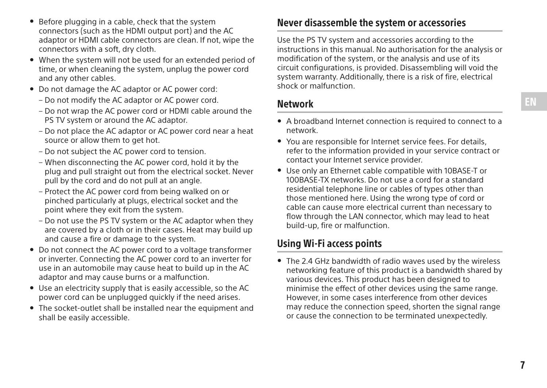- ˎ Before plugging in a cable, check that the system connectors (such as the HDMI output port) and the AC adaptor or HDMI cable connectors are clean. If not, wipe the connectors with a soft, dry cloth.
- ˎ When the system will not be used for an extended period of time, or when cleaning the system, unplug the power cord and any other cables.
- Do not damage the AC adaptor or AC power cord:
	- Do not modify the AC adaptor or AC power cord.
	- Do not wrap the AC power cord or HDMI cable around the PS TV system or around the AC adaptor.
	- Do not place the AC adaptor or AC power cord near a heat source or allow them to get hot.
	- Do not subject the AC power cord to tension.
	- When disconnecting the AC power cord, hold it by the plug and pull straight out from the electrical socket. Never pull by the cord and do not pull at an angle.
	- Protect the AC power cord from being walked on or pinched particularly at plugs, electrical socket and the point where they exit from the system.
	- Do not use the PS TV system or the AC adaptor when they are covered by a cloth or in their cases. Heat may build up and cause a fire or damage to the system.
- ˎ Do not connect the AC power cord to a voltage transformer or inverter. Connecting the AC power cord to an inverter for use in an automobile may cause heat to build up in the AC adaptor and may cause burns or a malfunction.
- ˎ Use an electricity supply that is easily accessible, so the AC power cord can be unplugged quickly if the need arises.
- The socket-outlet shall be installed near the equipment and shall be easily accessible.

#### Never disassemble the system or accessories

Use the PS TV system and accessories according to the instructions in this manual. No authorisation for the analysis or modification of the system, or the analysis and use of its circuit configurations, is provided. Disassembling will void the system warranty. Additionally, there is a risk of fire, electrical shock or malfunction.

Network

- ˎ A broadband Internet connection is required to connect to a network.
- ˎ You are responsible for Internet service fees. For details, refer to the information provided in your service contract or contact your Internet service provider.
- ˎ Use only an Ethernet cable compatible with 10BASE-T or 100BASE-TX networks. Do not use a cord for a standard residential telephone line or cables of types other than those mentioned here. Using the wrong type of cord or cable can cause more electrical current than necessary to flow through the LAN connector, which may lead to heat build-up, fire or malfunction.

## Using Wi-Fi access points

• The 2.4 GHz bandwidth of radio waves used by the wireless networking feature of this product is a bandwidth shared by various devices. This product has been designed to minimise the effect of other devices using the same range. However, in some cases interference from other devices may reduce the connection speed, shorten the signal range or cause the connection to be terminated unexpectedly.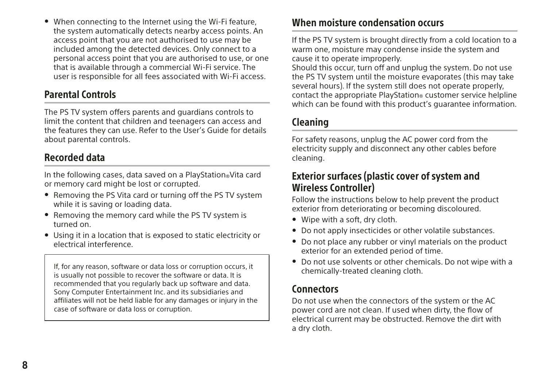ˎ When connecting to the Internet using the Wi-Fi feature, the system automatically detects nearby access points. An access point that you are not authorised to use may be included among the detected devices. Only connect to a personal access point that you are authorised to use, or one that is available through a commercial Wi-Fi service. The user is responsible for all fees associated with Wi-Fi access.

#### Parental Controls

The PS TV system offers parents and guardians controls to limit the content that children and teenagers can access and the features they can use. Refer to the User's Guide for details about parental controls.

#### Recorded data

In the following cases, data saved on a PlayStation®Vita card or memory card might be lost or corrupted.

- ˎ Removing the PS Vita card or turning off the PS TV system while it is saving or loading data.
- ˎ Removing the memory card while the PS TV system is turned on.
- ˎ Using it in a location that is exposed to static electricity or electrical interference.

If, for any reason, software or data loss or corruption occurs, it is usually not possible to recover the software or data. It is recommended that you regularly back up software and data. Sony Computer Entertainment Inc. and its subsidiaries and affiliates will not be held liable for any damages or injury in the case of software or data loss or corruption.

#### When moisture condensation occurs

If the PS TV system is brought directly from a cold location to a warm one, moisture may condense inside the system and cause it to operate improperly.

Should this occur, turn off and unplug the system. Do not use the PS TV system until the moisture evaporates (this may take several hours). If the system still does not operate properly, contact the appropriate PlayStation® customer service helpline which can be found with this product's quarantee information

#### Cleaning

For safety reasons, unplug the AC power cord from the electricity supply and disconnect any other cables before cleaning.

#### Exterior surfaces (plastic cover of system and Wireless Controller)

Follow the instructions below to help prevent the product exterior from deteriorating or becoming discoloured.

- ˎ Wipe with a soft, dry cloth.
- ˎ Do not apply insecticides or other volatile substances.
- ˎ Do not place any rubber or vinyl materials on the product exterior for an extended period of time.
- ˎ Do not use solvents or other chemicals. Do not wipe with a chemically-treated cleaning cloth.

#### **Connectors**

Do not use when the connectors of the system or the AC power cord are not clean. If used when dirty, the flow of electrical current may be obstructed. Remove the dirt with a dry cloth.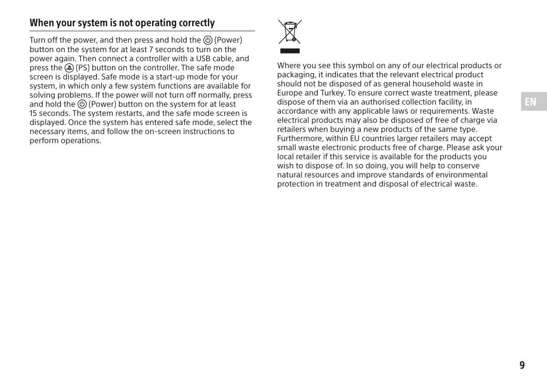#### When your system is not operating correctly

Turn off the power, and then press and hold the (0) (Power) button on the system for at least 7 seconds to turn on the power again. Then connect a controller with a USB cable, and press the (PS) button on the controller. The safe mode screen is displayed. Safe mode is a start-up mode for your system, in which only a few system functions are available for solving problems. If the power will not turn off normally, press and hold the  $\circledcirc$  (Power) button on the system for at least 15 seconds. The system restarts, and the safe mode screen is displayed. Once the system has entered safe mode, select the necessary items, and follow the on-screen instructions to perform operations.



Where you see this symbol on any of our electrical products or packaging, it indicates that the relevant electrical product should not be disposed of as general household waste in Europe and Turkey. To ensure correct waste treatment, please dispose of them via an authorised collection facility, in accordance with any applicable laws or requirements. Waste electrical products may also be disposed of free of charge via retailers when buying a new products of the same type. Furthermore, within EU countries larger retailers may accept small waste electronic products free of charge. Please ask your local retailer if this service is available for the products you wish to dispose of. In so doing, you will help to conserve natural resources and improve standards of environmental protection in treatment and disposal of electrical waste.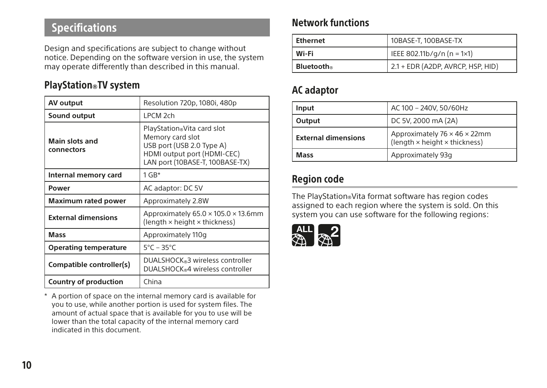# <span id="page-9-0"></span>Specifications

Design and specifications are subject to change without notice. Depending on the software version in use, the system may operate differently than described in this manual.

### PlayStation®TV system

| AV output                           | Resolution 720p, 1080i, 480p                                                                                                                  |
|-------------------------------------|-----------------------------------------------------------------------------------------------------------------------------------------------|
| Sound output                        | LPCM <sub>2ch</sub>                                                                                                                           |
| <b>Main slots and</b><br>connectors | PlayStation®Vita card slot<br>Memory card slot<br>USB port (USB 2.0 Type A)<br>HDMI output port (HDMI-CEC)<br>LAN port (10BASE-T, 100BASE-TX) |
| Internal memory card                | $1$ GB*                                                                                                                                       |
| Power                               | AC adaptor: DC 5V                                                                                                                             |
| <b>Maximum rated power</b>          | Approximately 2.8W                                                                                                                            |
| <b>External dimensions</b>          | Approximately $65.0 \times 105.0 \times 13.6$ mm<br>(length × height × thickness)                                                             |
| <b>Mass</b>                         | Approximately 110g                                                                                                                            |
| <b>Operating temperature</b>        | $5^{\circ}$ C – 35 $^{\circ}$ C                                                                                                               |
| Compatible controller(s)            | DUALSHOCK®3 wireless controller<br>DUALSHOCK®4 wireless controller                                                                            |
| Country of production               | China                                                                                                                                         |

\* A portion of space on the internal memory card is available for you to use, while another portion is used for system files. The amount of actual space that is available for you to use will be lower than the total capacity of the internal memory card indicated in this document.

#### Network functions

| Ethernet   | 10BASE-T, 100BASE-TX              |
|------------|-----------------------------------|
| l Wi-Fi    | IEEE 802.11b/g/n (n = 1×1)        |
| Bluetooth® | 2.1 + EDR (A2DP, AVRCP, HSP, HID) |

#### AC adaptor

| Input                                                                                       | AC 100 - 240V, 50/60Hz |
|---------------------------------------------------------------------------------------------|------------------------|
| Output                                                                                      | DC 5V, 2000 mA (2A)    |
| Approximately 76 × 46 × 22mm<br><b>External dimensions</b><br>(length × height × thickness) |                        |
| Mass                                                                                        | Approximately 93q      |

#### Region code

The PlayStation®Vita format software has region codes assigned to each region where the system is sold. On this system you can use software for the following regions:

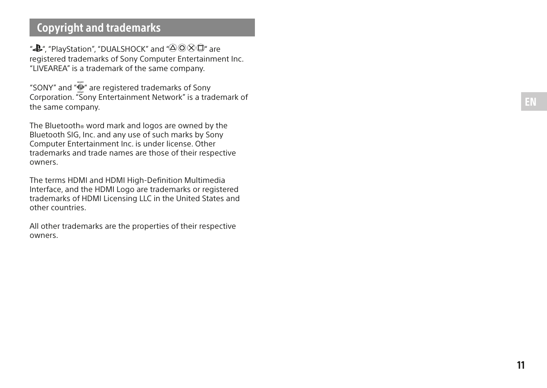# <span id="page-10-0"></span>Copyright and trademarks

" $\triangle$ ", "PlayStation", "DUALSHOCK" and " $\triangle$   $\odot$   $\times$   $\widehat{\square}$ " are registered trademarks of Sony Computer Entertainment Inc. "LIVEAREA" is a trademark of the same company.

"SONY" and " $\bullet$ " are registered trademarks of Sony Corporation. "Sony Entertainment Network" is a trademark of the same company.

The Bluetooth® word mark and logos are owned by the Bluetooth SIG, Inc. and any use of such marks by Sony Computer Entertainment Inc. is under license. Other trademarks and trade names are those of their respective owners.

The terms HDMI and HDMI High-Definition Multimedia Interface, and the HDMI Logo are trademarks or registered trademarks of HDMI Licensing LLC in the United States and other countries.

All other trademarks are the properties of their respective owners.